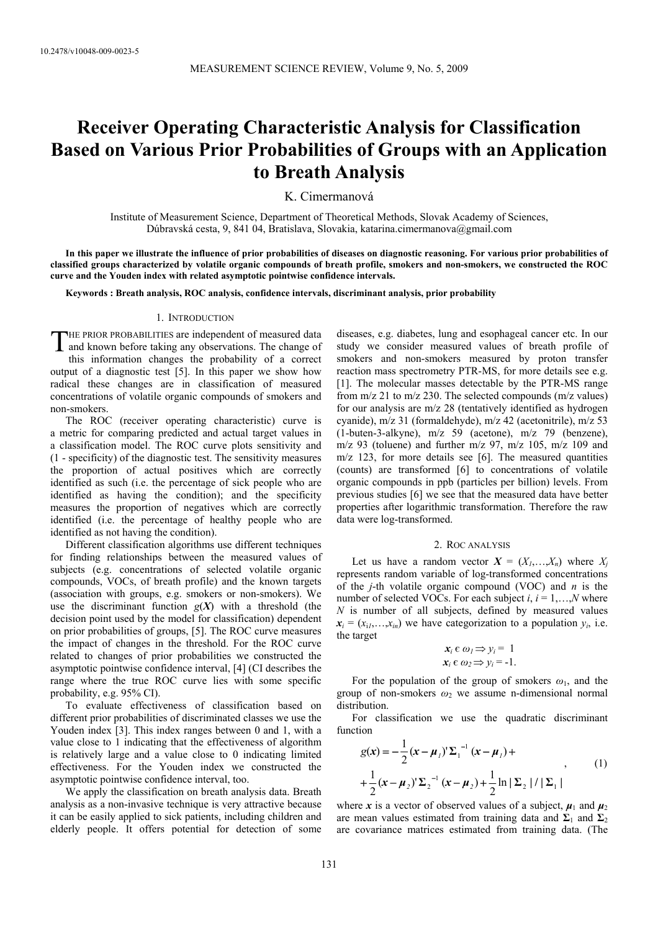# **Receiver Operating Characteristic Analysis for Classification Based on Various Prior Probabilities of Groups with an Application to Breath Analysis**

K. Cimermanová

Institute of Measurement Science, Department of Theoretical Methods, Slovak Academy of Sciences, Dúbravská cesta, 9, 841 04, Bratislava, Slovakia, katarina.cimermanova@gmail.com

**In this paper we illustrate the influence of prior probabilities of diseases on diagnostic reasoning. For various prior probabilities of classified groups characterized by volatile organic compounds of breath profile, smokers and non-smokers, we constructed the ROC curve and the Youden index with related asymptotic pointwise confidence intervals.** 

**Keywords : Breath analysis, ROC analysis, confidence intervals, discriminant analysis, prior probability**

### 1. INTRODUCTION

THE PRIOR PROBABILITIES are independent of measured data THE PRIOR PROBABILITIES are independent of measured data<br>and known before taking any observations. The change of this information changes the probability of a correct output of a diagnostic test [5]. In this paper we show how radical these changes are in classification of measured concentrations of volatile organic compounds of smokers and non-smokers.

The ROC (receiver operating characteristic) curve is a metric for comparing predicted and actual target values in a classification model. The ROC curve plots sensitivity and (1 - specificity) of the diagnostic test. The sensitivity measures the proportion of actual positives which are correctly identified as such (i.e. the percentage of sick people who are identified as having the condition); and the specificity measures the proportion of negatives which are correctly identified (i.e. the percentage of healthy people who are identified as not having the condition).

Different classification algorithms use different techniques for finding relationships between the measured values of subjects (e.g. concentrations of selected volatile organic compounds, VOCs, of breath profile) and the known targets (association with groups, e.g. smokers or non-smokers). We use the discriminant function  $g(X)$  with a threshold (the decision point used by the model for classification) dependent on prior probabilities of groups, [5]. The ROC curve measures the impact of changes in the threshold. For the ROC curve related to changes of prior probabilities we constructed the asymptotic pointwise confidence interval, [4] (CI describes the range where the true ROC curve lies with some specific probability, e.g. 95% CI).

To evaluate effectiveness of classification based on different prior probabilities of discriminated classes we use the Youden index [3]. This index ranges between 0 and 1, with a value close to 1 indicating that the effectiveness of algorithm is relatively large and a value close to 0 indicating limited effectiveness. For the Youden index we constructed the asymptotic pointwise confidence interval, too.

We apply the classification on breath analysis data. Breath analysis as a non-invasive technique is very attractive because it can be easily applied to sick patients, including children and elderly people. It offers potential for detection of some

diseases, e.g. diabetes, lung and esophageal cancer etc. In our study we consider measured values of breath profile of smokers and non-smokers measured by proton transfer reaction mass spectrometry PTR-MS, for more details see e.g. [1]. The molecular masses detectable by the PTR-MS range from m/z 21 to m/z 230. The selected compounds (m/z values) for our analysis are m/z 28 (tentatively identified as hydrogen cyanide), m/z 31 (formaldehyde), m/z 42 (acetonitrile), m/z 53 (1-buten-3-alkyne), m/z 59 (acetone), m/z 79 (benzene), m/z 93 (toluene) and further m/z 97, m/z 105, m/z 109 and m/z 123, for more details see [6]. The measured quantities (counts) are transformed [6] to concentrations of volatile organic compounds in ppb (particles per billion) levels. From previous studies [6] we see that the measured data have better properties after logarithmic transformation. Therefore the raw data were log-transformed.

### 2. ROC ANALYSIS

Let us have a random vector  $X = (X_1, \ldots, X_n)$  where  $X_i$ represents random variable of log-transformed concentrations of the *j*-th volatile organic compound (VOC) and *n* is the number of selected VOCs. For each subject  $i, i = 1,...,N$  where *N* is number of all subjects, defined by measured values  $x_i = (x_{i1}, \ldots, x_{in})$  we have categorization to a population  $y_i$ , i.e. the target

$$
\mathbf{x}_i \in \omega_1 \Longrightarrow y_i = 1
$$
  

$$
\mathbf{x}_i \in \omega_2 \Longrightarrow y_i = -1.
$$

For the population of the group of smokers  $\omega_1$ , and the group of non-smokers *ω*2 we assume n-dimensional normal distribution.

For classification we use the quadratic discriminant function

$$
g(x) = -\frac{1}{2}(x - \mu_1)' \Sigma_1^{-1} (x - \mu_1) +
$$
  
+  $\frac{1}{2}(x - \mu_2)' \Sigma_2^{-1} (x - \mu_2) + \frac{1}{2} \ln |\Sigma_2| / |\Sigma_1|$  (1)

where *x* is a vector of observed values of a subject,  $\mu_1$  and  $\mu_2$ are mean values estimated from training data and  $\Sigma$ <sub>1</sub> and  $\Sigma$ <sub>2</sub> are covariance matrices estimated from training data. (The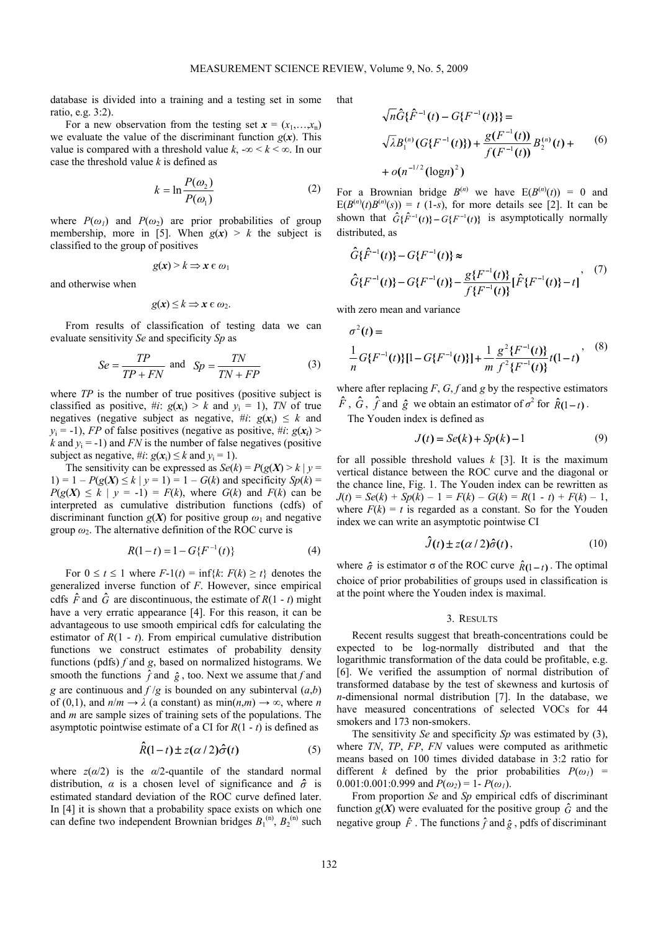database is divided into a training and a testing set in some ratio, e.g. 3:2).

For a new observation from the testing set  $x = (x_1, \ldots, x_n)$ we evaluate the value of the discriminant function  $g(x)$ . This value is compared with a threshold value  $k, -\infty < k < \infty$ . In our case the threshold value *k* is defined as

$$
k = \ln \frac{P(\omega_2)}{P(\omega_1)}\tag{2}
$$

where  $P(\omega_1)$  and  $P(\omega_2)$  are prior probabilities of group membership, more in [5]. When  $g(x) > k$  the subject is classified to the group of positives

$$
g(x) > k \Rightarrow x \in \omega_1
$$

and otherwise when

$$
g(x) \leq k \Rightarrow x \in \omega_2.
$$

From results of classification of testing data we can evaluate sensitivity *Se* and specificity *Sp* as

$$
Se = \frac{TP}{TP + FN} \text{ and } Sp = \frac{TN}{TN + FP}
$$
 (3)

where *TP* is the number of true positives (positive subject is classified as positive,  $\#i$ :  $g(x_i) > k$  and  $v_i = 1$ ), *TN* of true negatives (negative subject as negative, #*i*:  $g(x_i) \leq k$  and  $y_i = -1$ ), *FP* of false positives (negative as positive, #*i*:  $g(x_i)$ ) *k* and  $v_i = -1$ ) and *FN* is the number of false negatives (positive subject as negative, #*i*:  $g(x_i) \leq k$  and  $y_i = 1$ ).

The sensitivity can be expressed as  $Se(k) = P(g(X) > k | y =$ 1) = 1 –  $P(g(X) \le k | y = 1) = 1 - G(k)$  and specificity  $Sp(k) =$  $P(g(X) \leq k | y = -1) = F(k)$ , where  $G(k)$  and  $F(k)$  can be interpreted as cumulative distribution functions (cdfs) of discriminant function  $g(X)$  for positive group  $\omega_1$  and negative group  $\omega_2$ . The alternative definition of the ROC curve is

$$
R(1-t) = 1 - G\{F^{-1}(t)\}\tag{4}
$$

For  $0 \le t \le 1$  where  $F-1(t) = \inf\{k: F(k) \ge t\}$  denotes the generalized inverse function of *F*. However, since empirical cdfs  $\hat{F}$  and  $\hat{G}$  are discontinuous, the estimate of  $R(1 - t)$  might have a very erratic appearance [4]. For this reason, it can be advantageous to use smooth empirical cdfs for calculating the estimator of  $R(1 - t)$ . From empirical cumulative distribution functions we construct estimates of probability density functions (pdfs) *f* and *g*, based on normalized histograms. We smooth the functions  $\hat{f}$  and  $\hat{g}$ , too. Next we assume that *f* and *g* are continuous and  $f/g$  is bounded on any subinterval  $(a,b)$ of (0,1), and  $n/m \rightarrow \lambda$  (a constant) as  $\min(n,m) \rightarrow \infty$ , where *n* and *m* are sample sizes of training sets of the populations. The asymptotic pointwise estimate of a CI for  $R(1 - t)$  is defined as

$$
\hat{R}(1-t) \pm z(\alpha/2)\hat{\sigma}(t) \tag{5}
$$

where  $z(\alpha/2)$  is the  $\alpha/2$ -quantile of the standard normal distribution,  $\alpha$  is a chosen level of significance and  $\hat{\sigma}$  is estimated standard deviation of the ROC curve defined later. In [4] it is shown that a probability space exists on which one can define two independent Brownian bridges  $B_1^{(n)}$ ,  $B_2^{(n)}$  such that

$$
\sqrt{n}\hat{G}\{\hat{F}^{-1}(t) - G\{F^{-1}(t)\}\} =
$$
\n
$$
\sqrt{\lambda}B_1^{(n)}(G\{F^{-1}(t)\}) + \frac{g(F^{-1}(t))}{f(F^{-1}(t))}B_2^{(n)}(t) +
$$
\n
$$
+ o(n^{-1/2}(\log n)^2)
$$
\n(6)

For a Brownian bridge  $B^{(n)}$  we have  $E(B^{(n)}(t)) = 0$  and  $E(B^{(n)}(t)B^{(n)}(s)) = t$  (1-*s*), for more details see [2]. It can be shown that  $\hat{G}\{\hat{F}^{-1}(t)\} - G\{F^{-1}(t)\}\$ is asymptotically normally distributed, as

$$
\hat{G}\{\hat{F}^{-1}(t)\} - G\{F^{-1}(t)\} \approx
$$
\n
$$
\hat{G}\{F^{-1}(t)\} - G\{F^{-1}(t)\} - \frac{g\{F^{-1}(t)\}}{f\{F^{-1}(t)\}}[\hat{F}\{F^{-1}(t)\} - t]
$$
\n(7)

with zero mean and variance

$$
\sigma^{2}(t) = \frac{1}{n} G\{F^{-1}(t)\} [1 - G\{F^{-1}(t)\}] + \frac{1}{m} \frac{g^{2} \{F^{-1}(t)\}}{f^{2} \{F^{-1}(t)\}} t(1-t),
$$
\n(8)

where after replacing *F*, *G*, *f* and *g* by the respective estimators  $\hat{F}$ ,  $\hat{G}$ ,  $\hat{f}$  and  $\hat{g}$  we obtain an estimator of  $\sigma^2$  for  $\hat{R}(1-t)$ .

The Youden index is defined as

$$
J(t) = Se(k) + Sp(k) - 1
$$
 (9)

for all possible threshold values *k* [3]. It is the maximum vertical distance between the ROC curve and the diagonal or the chance line, Fig. 1. The Youden index can be rewritten as  $J(t) = Se(k) + Sp(k) - 1 = F(k) - G(k) = R(1 - t) + F(k) - 1$ , where  $F(k) = t$  is regarded as a constant. So for the Youden index we can write an asymptotic pointwise CI

$$
\hat{J}(t) \pm z(\alpha/2)\hat{\sigma}(t), \qquad (10)
$$

where  $\hat{\sigma}$  is estimator  $\sigma$  of the ROC curve  $\hat{R}(1-t)$ . The optimal choice of prior probabilities of groups used in classification is at the point where the Youden index is maximal.

## 3. RESULTS

Recent results suggest that breath-concentrations could be expected to be log-normally distributed and that the logarithmic transformation of the data could be profitable, e.g. [6]. We verified the assumption of normal distribution of transformed database by the test of skewness and kurtosis of *n*-dimensional normal distribution [7]. In the database, we have measured concentrations of selected VOCs for 44 smokers and 173 non-smokers.

The sensitivity *Se* and specificity *Sp* was estimated by (3), where *TN*, *TP*, *FP*, *FN* values were computed as arithmetic means based on 100 times divided database in 3:2 ratio for different *k* defined by the prior probabilities  $P(\omega_I)$  = 0.001:0.001:0.999 and  $P(\omega_2) = 1 - P(\omega_1)$ .

From proportion *Se* and *Sp* empirical cdfs of discriminant function  $g(X)$  were evaluated for the positive group  $\hat{G}$  and the negative group  $\hat{F}$ . The functions  $\hat{f}$  and  $\hat{g}$ , pdfs of discriminant